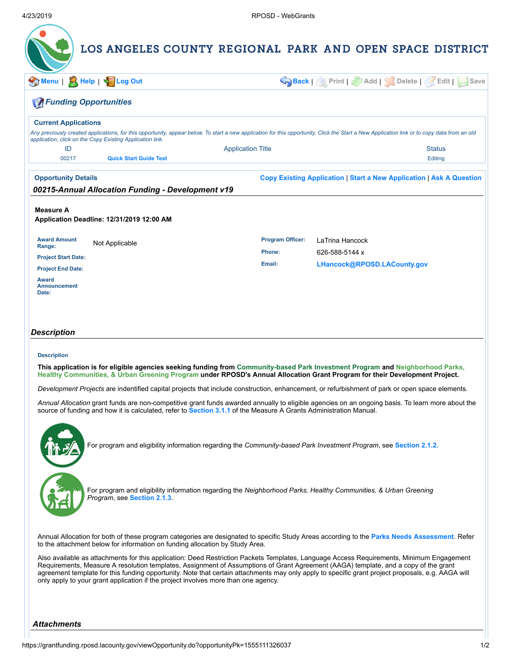| Menu                                                                                                             | A Help   < FLog Out                                       |                          | Back   Print   Add   Solete   Kadit                                                                                                                                                                                                                          | Save           |
|------------------------------------------------------------------------------------------------------------------|-----------------------------------------------------------|--------------------------|--------------------------------------------------------------------------------------------------------------------------------------------------------------------------------------------------------------------------------------------------------------|----------------|
| <b>FA Funding Opportunities</b>                                                                                  |                                                           |                          |                                                                                                                                                                                                                                                              |                |
| <b>Current Applications</b>                                                                                      |                                                           |                          |                                                                                                                                                                                                                                                              |                |
|                                                                                                                  | application, click on the Copy Existing Application link. |                          | Any previously created applications, for this opportunity, appear below. To start a new application for this opportunity, Click the Start a New Application link or to copy data from an old                                                                 |                |
| ID                                                                                                               |                                                           | <b>Application Title</b> |                                                                                                                                                                                                                                                              | <b>Status</b>  |
| 00217                                                                                                            | <b>Quick Start Guide Test</b>                             |                          |                                                                                                                                                                                                                                                              | <b>Editing</b> |
| <b>Opportunity Details</b>                                                                                       |                                                           |                          | <b>Copy Existing Application   Start a New Application   Ask A Question</b>                                                                                                                                                                                  |                |
|                                                                                                                  | 00215-Annual Allocation Funding - Development v19         |                          |                                                                                                                                                                                                                                                              |                |
|                                                                                                                  |                                                           |                          |                                                                                                                                                                                                                                                              |                |
| Application Deadline: 12/31/2019 12:00 AM<br><b>Award Amount</b>                                                 | Not Applicable                                            | <b>Program Officer:</b>  | LaTrina Hancock                                                                                                                                                                                                                                              |                |
|                                                                                                                  |                                                           | Phone:<br>Email:         | 626-588-5144 x<br>LHancock@RPOSD.LACounty.gov                                                                                                                                                                                                                |                |
| Range:<br><b>Project Start Date:</b><br><b>Project End Date:</b><br><b>Award</b><br><b>Announcement</b><br>Date: |                                                           |                          |                                                                                                                                                                                                                                                              |                |
|                                                                                                                  |                                                           |                          |                                                                                                                                                                                                                                                              |                |
| Description                                                                                                      |                                                           |                          |                                                                                                                                                                                                                                                              |                |
| <b>Description</b>                                                                                               |                                                           |                          |                                                                                                                                                                                                                                                              |                |
|                                                                                                                  |                                                           |                          | This application is for eligible agencies seeking funding from Community-based Park Investment Program and Neighborhood Parks,<br>Healthy Communities, & Urban Greening Program under RPOSD's Annual Allocation Grant Program for their Development Project. |                |
|                                                                                                                  |                                                           |                          | Development Projects are indentified capital projects that include construction, enhancement, or refurbishment of park or open space elements.                                                                                                               |                |

For program and eligibility information regarding the *Community-based Park Investment Program*, see **[Section](http://rposd.lacounty.gov/wp-content/uploads/2019/04/2.1.2.pdf) 2.1.2.**

For program and eligibility information regarding the *Neighborhood Parks, Healthy Communities, & Urban Greening Program*, see **[Section](http://rposd.lacounty.gov/wp-content/uploads/2019/04/2.1.3.pdf) 2.1.3**.

Annual Allocation for both of these program categories are designated to specific Study Areas according to the **Parks Needs [Assessment](https://lacountyparkneeds.org/)**. Refer to the attachment below for information on funding allocation by Study Area.

Also available as attachments for this application: Deed Restriction Packets Templates, Language Access Requirements, Minimum Engagement Requirements, Measure A resolution templates, Assignment of Assumptions of Grant Agreement (AAGA) template, and a copy of the grant agreement template for this funding opportunity. Note that certain attachments may only apply to specific grant project proposals, e.g. AAGA will only apply to your grant application if the project involves more than one agency.

*Attachments*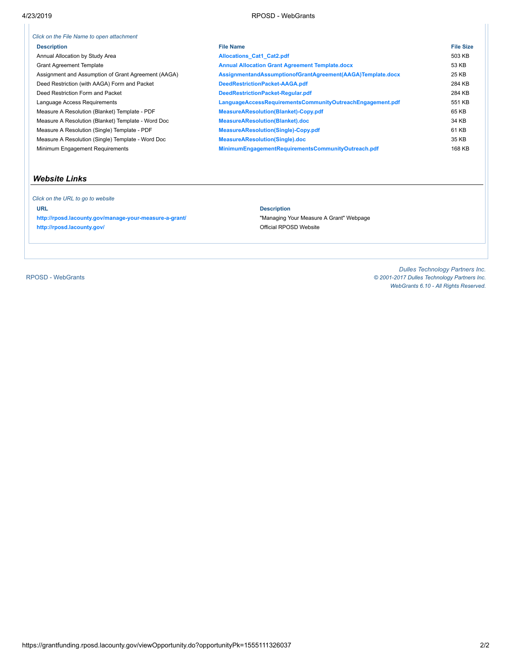| Click on the File Name to open attachment           |                                                            |                  |
|-----------------------------------------------------|------------------------------------------------------------|------------------|
| <b>Description</b>                                  | <b>File Name</b>                                           | <b>File Size</b> |
| Annual Allocation by Study Area                     | <b>Allocations Cat1 Cat2.pdf</b>                           | 503 KB           |
| <b>Grant Agreement Template</b>                     | <b>Annual Allocation Grant Agreement Template.docx</b>     | 53 KB            |
| Assignment and Assumption of Grant Agreement (AAGA) | AssignmentandAssumptionofGrantAgreement(AAGA)Template.docx | 25 KB            |
| Deed Restriction (with AAGA) Form and Packet        | DeedRestrictionPacket-AAGA.pdf                             | 284 KB           |
| Deed Restriction Form and Packet                    | DeedRestrictionPacket-Regular.pdf                          | 284 KB           |
| Language Access Requirements                        | LanguageAccessRequirementsCommunityOutreachEngagement.pdf  | 551 KB           |
| Measure A Resolution (Blanket) Template - PDF       | <b>MeasureAResolution(Blanket)-Copy.pdf</b>                | 65 KB            |
| Measure A Resolution (Blanket) Template - Word Doc  | MeasureAResolution(Blanket).doc                            | 34 KB            |
| Measure A Resolution (Single) Template - PDF        | <b>MeasureAResolution(Single)-Copy.pdf</b>                 | 61 KB            |
| Measure A Resolution (Single) Template - Word Doc   | <b>MeasureAResolution(Single).doc</b>                      | 35 KB            |
| Minimum Engagement Requirements                     | MinimumEngagementRequirementsCommunityOutreach.pdf         | 168 KB           |

### *Website Links*

 *Click on the URL to go to website* **URL Description <http://rposd.lacounty.gov/manage-your-measure-a-grant/>** "Managing Your Measure A Grant" Webpage <http://rposd.lacounty.gov/><br>
Official RPOSD Website

RPOSD - [WebGrants](https://grantfunding.rposd.lacounty.gov/)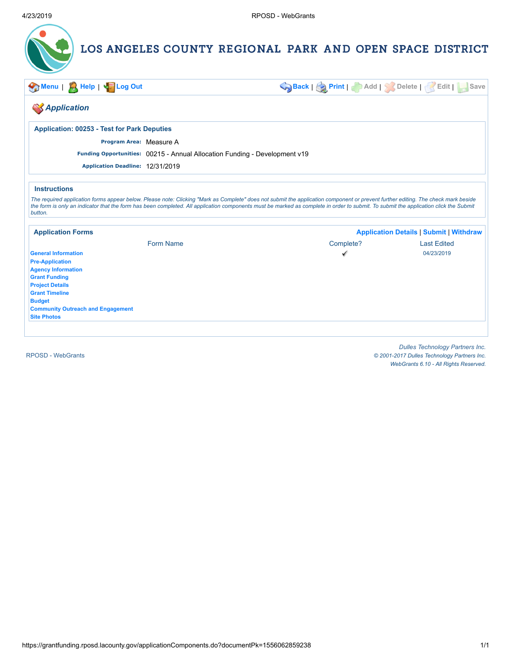

**[Menu](https://grantfunding.rposd.lacounty.gov/home.do)** | **[Help](https://grantfunding.rposd.lacounty.gov/viewOnlineHelp.do?helpType=Grantee&#GranteeAppComponentsPage)** | **[Log](https://grantfunding.rposd.lacounty.gov/logout.do) Out [Back](https://grantfunding.rposd.lacounty.gov/applicationList.do)** | **[Print](https://grantfunding.rposd.lacounty.gov/getApplicationPrintPreview.do?documentPk=1556062859238)** | **Add** | **Delete** | **Edit** | **Save**

### *Application*

**Application: 00253 - Test for Park Deputies**

**Program Area:** Measure A

**Funding Opportunities:** 00215 - Annual Allocation Funding - Development v19

**Application Deadline:** 12/31/2019

#### **Instructions**

*The required application forms appear below. Please note: Clicking "Mark as Complete" does not submit the application component or prevent further editing. The check mark beside the form is only an indicator that the form has been completed. All application components must be marked as complete in order to submit. To submit the application click the Submit button.*

| <b>Application Forms</b>                 |           | <b>Application Details   Submit   Withdraw</b> |                    |
|------------------------------------------|-----------|------------------------------------------------|--------------------|
|                                          | Form Name | Complete?                                      | <b>Last Edited</b> |
| <b>General Information</b>               |           | √                                              | 04/23/2019         |
| <b>Pre-Application</b>                   |           |                                                |                    |
| <b>Agency Information</b>                |           |                                                |                    |
| <b>Grant Funding</b>                     |           |                                                |                    |
| <b>Project Details</b>                   |           |                                                |                    |
| <b>Grant Timeline</b>                    |           |                                                |                    |
| <b>Budget</b>                            |           |                                                |                    |
| <b>Community Outreach and Engagement</b> |           |                                                |                    |
| <b>Site Photos</b>                       |           |                                                |                    |
|                                          |           |                                                |                    |

RPOSD - [WebGrants](https://grantfunding.rposd.lacounty.gov/)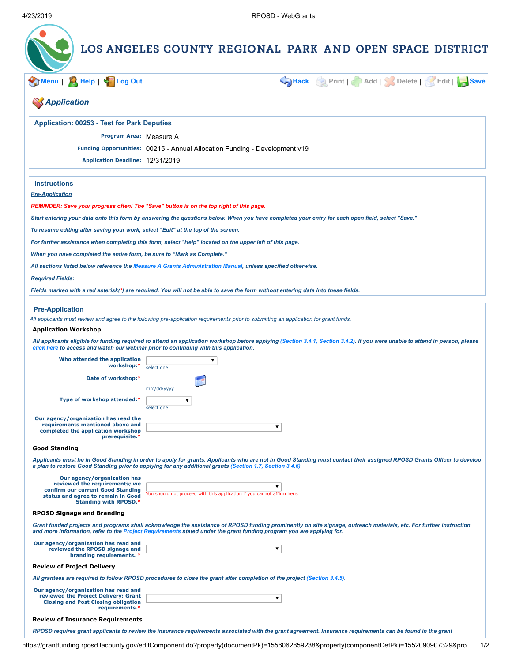| $\mathbb{R}$ Help  <br><b>Log Out</b><br><b>Menu</b>                                                 | Back   Print   Add   Solete   Edit   Save                                                                                                                                                                                                                                                  |
|------------------------------------------------------------------------------------------------------|--------------------------------------------------------------------------------------------------------------------------------------------------------------------------------------------------------------------------------------------------------------------------------------------|
| <b>SApplication</b>                                                                                  |                                                                                                                                                                                                                                                                                            |
| <b>Application: 00253 - Test for Park Deputies</b>                                                   |                                                                                                                                                                                                                                                                                            |
| Program Area: Measure A                                                                              |                                                                                                                                                                                                                                                                                            |
|                                                                                                      | Funding Opportunities: 00215 - Annual Allocation Funding - Development v19                                                                                                                                                                                                                 |
| Application Deadline: 12/31/2019                                                                     |                                                                                                                                                                                                                                                                                            |
| <b>Instructions</b>                                                                                  |                                                                                                                                                                                                                                                                                            |
| <b>Pre-Application</b>                                                                               |                                                                                                                                                                                                                                                                                            |
|                                                                                                      | REMINDER: Save your progress often! The "Save" button is on the top right of this page.                                                                                                                                                                                                    |
|                                                                                                      |                                                                                                                                                                                                                                                                                            |
|                                                                                                      | Start entering your data onto this form by answering the questions below. When you have completed your entry for each open field, select "Save."                                                                                                                                           |
| To resume editing after saving your work, select "Edit" at the top of the screen.                    |                                                                                                                                                                                                                                                                                            |
|                                                                                                      | For further assistance when completing this form, select "Help" located on the upper left of this page.                                                                                                                                                                                    |
| When you have completed the entire form, be sure to "Mark as Complete."                              |                                                                                                                                                                                                                                                                                            |
|                                                                                                      | All sections listed below reference the Measure A Grants Administration Manual, unless specified otherwise.                                                                                                                                                                                |
| <b>Required Fields:</b>                                                                              |                                                                                                                                                                                                                                                                                            |
|                                                                                                      | Fields marked with a red asterisk(*) are required. You will not be able to save the form without entering data into these fields.                                                                                                                                                          |
|                                                                                                      |                                                                                                                                                                                                                                                                                            |
| <b>Pre-Application</b>                                                                               |                                                                                                                                                                                                                                                                                            |
|                                                                                                      | All applicants must review and agree to the following pre-application requirements prior to submitting an application for grant funds.                                                                                                                                                     |
| <b>Application Workshop</b>                                                                          |                                                                                                                                                                                                                                                                                            |
|                                                                                                      | All applicants eligible for funding required to attend an application workshop before applying (Section 3.4.1, Section 3.4.2). If you were unable to attend in person, please<br>click here to access and watch our webinar prior to continuing with this application.                     |
| Who attended the application<br>workshop:*                                                           | ▼<br>select one                                                                                                                                                                                                                                                                            |
| Date of workshop:*                                                                                   |                                                                                                                                                                                                                                                                                            |
|                                                                                                      | mm/dd/yyyy                                                                                                                                                                                                                                                                                 |
| Type of workshop attended:*                                                                          | $\blacktriangledown$                                                                                                                                                                                                                                                                       |
|                                                                                                      | select one                                                                                                                                                                                                                                                                                 |
| Our agency/organization has read the                                                                 |                                                                                                                                                                                                                                                                                            |
| requirements mentioned above and<br>completed the application workshop                               | ▼                                                                                                                                                                                                                                                                                          |
| prerequisite.*                                                                                       |                                                                                                                                                                                                                                                                                            |
| <b>Good Standing</b>                                                                                 |                                                                                                                                                                                                                                                                                            |
|                                                                                                      | Applicants must be in Good Standing in order to apply for grants. Applicants who are not in Good Standing must contact their assigned RPOSD Grants Officer to develop<br>a plan to restore Good Standing prior to applying for any additional grants (Section 1.7, Section 3.4.6).         |
| Our agency/organization has                                                                          |                                                                                                                                                                                                                                                                                            |
| reviewed the requirements; we                                                                        | ▼                                                                                                                                                                                                                                                                                          |
| confirm our current Good Standing<br>status and agree to remain in Good                              | You should not proceed with this application if you cannot affirm here.                                                                                                                                                                                                                    |
| <b>Standing with RPOSD.*</b><br><b>RPOSD Signage and Branding</b>                                    |                                                                                                                                                                                                                                                                                            |
|                                                                                                      | Grant funded projects and programs shall acknowledge the assistance of RPOSD funding prominently on site signage, outreach materials, etc. For further instruction<br>and more information, refer to the Project Requirements stated under the grant funding program you are applying for. |
| Our agency/organization has read and<br>reviewed the RPOSD signage and                               | $\pmb{\mathrm{v}}$                                                                                                                                                                                                                                                                         |
| branding requirements. *                                                                             |                                                                                                                                                                                                                                                                                            |
|                                                                                                      |                                                                                                                                                                                                                                                                                            |
| <b>Review of Project Delivery</b>                                                                    | All grantees are required to follow RPOSD procedures to close the grant after completion of the project (Section 3.4.5).                                                                                                                                                                   |
|                                                                                                      |                                                                                                                                                                                                                                                                                            |
| reviewed the Project Delivery: Grant<br><b>Closing and Post Closing obligation</b><br>requirements.* | ▼                                                                                                                                                                                                                                                                                          |
| Our agency/organization has read and<br><b>Review of Insurance Requirements</b>                      |                                                                                                                                                                                                                                                                                            |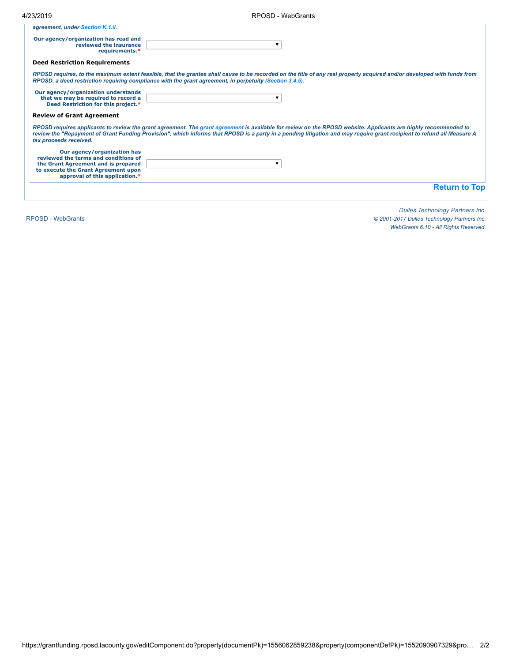| 4/23/2019 | RPOSD - WebGrants |
|-----------|-------------------|
|           |                   |

| agreement, under Section K.1.ii.                                                 |  |
|----------------------------------------------------------------------------------|--|
| Our agency/organization has read and<br>reviewed the insurance<br>requirements.* |  |

#### **Deed Restriction Requirements**

*RPOSD requires, to the maximum extent feasible, that the grantee shall cause to be recorded on the title of any real property acquired and/or developed with funds from RPOSD, a deed restriction requiring compliance with the grant agreement, in perpetuity [\(Section 3.4.5\)](http://rposd.lacounty.gov/wp-content/uploads/2019/04/3.4.5.pdf).*

| Our agency/organization understands |  |
|-------------------------------------|--|
| that we may be required to record a |  |
| Deed Restriction for this project.* |  |

#### **Review of Grant Agreement**

*RPOSD requires applicants to review the grant agreement. The [grant agreement](https://grantfunding.rposd.lacounty.gov/fileDownload.do?filename=1555446466490_Annual%20Allocation%20Grant%20Agreement%20Template.docx) is available for review on the RPOSD website. Applicants are highly recommended to review the "Repayment of Grant Funding Provision", which informs that RPOSD is a party in a pending litigation and may require grant recipient to refund all Measure A tax proceeds received.*

| Our agency/organization has<br>reviewed the terms and conditions of                                          |  |
|--------------------------------------------------------------------------------------------------------------|--|
| the Grant Agreement and is prepared<br>to execute the Grant Agreement upon<br>approval of this application.* |  |

**[Return](javascript: toTop();) to Top**

RPOSD - [WebGrants](https://grantfunding.rposd.lacounty.gov/)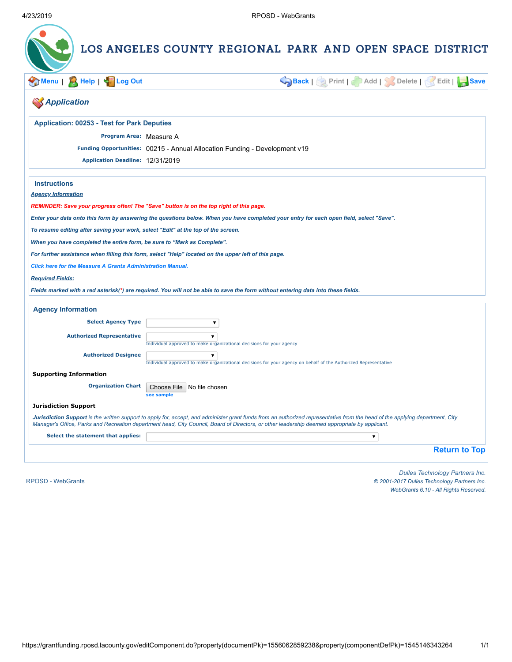|                                                                                   | LOS ANGELES COUNTY REGIONAL PARK AND OPEN SPACE DISTRICT                                                                                                                                                                                                                                                                        |
|-----------------------------------------------------------------------------------|---------------------------------------------------------------------------------------------------------------------------------------------------------------------------------------------------------------------------------------------------------------------------------------------------------------------------------|
| Help   String Out<br>/lenu ∣                                                      | Back   Print   Add   Solete   Kedit   Save                                                                                                                                                                                                                                                                                      |
| <b>Application</b>                                                                |                                                                                                                                                                                                                                                                                                                                 |
| <b>Application: 00253 - Test for Park Deputies</b>                                |                                                                                                                                                                                                                                                                                                                                 |
| Program Area: Measure A                                                           |                                                                                                                                                                                                                                                                                                                                 |
|                                                                                   | Funding Opportunities: 00215 - Annual Allocation Funding - Development v19                                                                                                                                                                                                                                                      |
| Application Deadline: 12/31/2019                                                  |                                                                                                                                                                                                                                                                                                                                 |
| <b>Instructions</b>                                                               |                                                                                                                                                                                                                                                                                                                                 |
| <b>Agency Information</b>                                                         |                                                                                                                                                                                                                                                                                                                                 |
|                                                                                   | REMINDER: Save your progress often! The "Save" button is on the top right of this page.                                                                                                                                                                                                                                         |
|                                                                                   | Enter your data onto this form by answering the questions below. When you have completed your entry for each open field, select "Save".                                                                                                                                                                                         |
| To resume editing after saving your work, select "Edit" at the top of the screen. |                                                                                                                                                                                                                                                                                                                                 |
| When you have completed the entire form, be sure to "Mark as Complete".           |                                                                                                                                                                                                                                                                                                                                 |
|                                                                                   | For further assistance when filling this form, select "Help" located on the upper left of this page.                                                                                                                                                                                                                            |
| <b>Click here for the Measure A Grants Administration Manual.</b>                 |                                                                                                                                                                                                                                                                                                                                 |
| <b>Required Fields:</b>                                                           |                                                                                                                                                                                                                                                                                                                                 |
|                                                                                   | Fields marked with a red asterisk(*) are required. You will not be able to save the form without entering data into these fields.                                                                                                                                                                                               |
| <b>Agency Information</b>                                                         |                                                                                                                                                                                                                                                                                                                                 |
| <b>Select Agency Type</b>                                                         | $\blacktriangledown$                                                                                                                                                                                                                                                                                                            |
| <b>Authorized Representative</b>                                                  | $\overline{\mathbf{v}}$                                                                                                                                                                                                                                                                                                         |
|                                                                                   | Individual approved to make organizational decisions for your agency                                                                                                                                                                                                                                                            |
| <b>Authorized Designee</b>                                                        | ▼.                                                                                                                                                                                                                                                                                                                              |
| <b>Supporting Information</b>                                                     | Individual approved to make organizational decisions for your agency on behalf of the Authorized Representative                                                                                                                                                                                                                 |
| <b>Organization Chart</b>                                                         | Choose File   No file chosen<br>see sample                                                                                                                                                                                                                                                                                      |
| <b>Jurisdiction Support</b>                                                       |                                                                                                                                                                                                                                                                                                                                 |
|                                                                                   | Jurisdiction Support is the written support to apply for, accept, and administer grant funds from an authorized representative from the head of the applying department, City<br>Manager's Office, Parks and Recreation department head, City Council, Board of Directors, or other leadership deemed appropriate by applicant. |
| Select the statement that applies:                                                | $\pmb{\mathrm{v}}$                                                                                                                                                                                                                                                                                                              |
|                                                                                   | <b>Return to Top</b>                                                                                                                                                                                                                                                                                                            |
|                                                                                   | Dulles Technology Partners Inc                                                                                                                                                                                                                                                                                                  |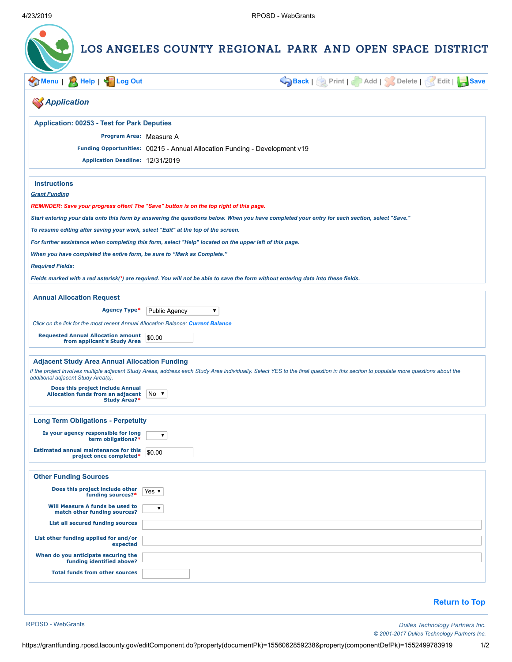| <b>A</b> Help   < Log Out<br>Menu                                                                                             |                                                                                                                                   | Back   Print   Add   Solete   Kait   Save                                                                                                                                          |
|-------------------------------------------------------------------------------------------------------------------------------|-----------------------------------------------------------------------------------------------------------------------------------|------------------------------------------------------------------------------------------------------------------------------------------------------------------------------------|
| <b>SApplication</b>                                                                                                           |                                                                                                                                   |                                                                                                                                                                                    |
| <b>Application: 00253 - Test for Park Deputies</b>                                                                            |                                                                                                                                   |                                                                                                                                                                                    |
| Program Area: Measure A                                                                                                       |                                                                                                                                   |                                                                                                                                                                                    |
|                                                                                                                               | Funding Opportunities: 00215 - Annual Allocation Funding - Development v19                                                        |                                                                                                                                                                                    |
| Application Deadline: 12/31/2019                                                                                              |                                                                                                                                   |                                                                                                                                                                                    |
| <b>Instructions</b>                                                                                                           |                                                                                                                                   |                                                                                                                                                                                    |
| <b>Grant Funding</b>                                                                                                          |                                                                                                                                   |                                                                                                                                                                                    |
|                                                                                                                               | REMINDER: Save your progress often! The "Save" button is on the top right of this page.                                           |                                                                                                                                                                                    |
|                                                                                                                               |                                                                                                                                   | Start entering your data onto this form by answering the questions below. When you have completed your entry for each section, select "Save."                                      |
| To resume editing after saving your work, select "Edit" at the top of the screen.                                             |                                                                                                                                   |                                                                                                                                                                                    |
| When you have completed the entire form, be sure to "Mark as Complete."                                                       | For further assistance when completing this form, select "Help" located on the upper left of this page.                           |                                                                                                                                                                                    |
| <b>Required Fields:</b>                                                                                                       |                                                                                                                                   |                                                                                                                                                                                    |
|                                                                                                                               | Fields marked with a red asterisk(*) are required. You will not be able to save the form without entering data into these fields. |                                                                                                                                                                                    |
| <b>Annual Allocation Request</b>                                                                                              |                                                                                                                                   |                                                                                                                                                                                    |
|                                                                                                                               |                                                                                                                                   |                                                                                                                                                                                    |
| Agency Type*                                                                                                                  | <b>Public Agency</b><br>▼                                                                                                         |                                                                                                                                                                                    |
| Click on the link for the most recent Annual Allocation Balance: Current Balance<br>Requested Annual Allocation amount \$0.00 |                                                                                                                                   |                                                                                                                                                                                    |
| from applicant's Study Area                                                                                                   |                                                                                                                                   |                                                                                                                                                                                    |
| <b>Adjacent Study Area Annual Allocation Funding</b>                                                                          |                                                                                                                                   |                                                                                                                                                                                    |
| additional adjacent Study Area(s).                                                                                            |                                                                                                                                   | If the project involves multiple adjacent Study Areas, address each Study Area individually. Select YES to the final question in this section to populate more questions about the |
| Does this project include Annual<br>Allocation funds from an adjacent No ▼<br><b>Study Area?*</b>                             |                                                                                                                                   |                                                                                                                                                                                    |
|                                                                                                                               |                                                                                                                                   |                                                                                                                                                                                    |
| <b>Long Term Obligations - Perpetuity</b>                                                                                     |                                                                                                                                   |                                                                                                                                                                                    |
| Is your agency responsible for long<br>term obligations?*                                                                     | $\pmb{\mathrm{v}}$                                                                                                                |                                                                                                                                                                                    |
| <b>Estimated annual maintenance for this</b><br>project once completed*                                                       | \$0.00                                                                                                                            |                                                                                                                                                                                    |
| <b>Other Funding Sources</b>                                                                                                  |                                                                                                                                   |                                                                                                                                                                                    |
| Does this project include other<br>funding sources?*                                                                          | Yes $\blacktriangledown$                                                                                                          |                                                                                                                                                                                    |
| Will Measure A funds be used to<br>match other funding sources?                                                               | ▼                                                                                                                                 |                                                                                                                                                                                    |
| List all secured funding sources                                                                                              |                                                                                                                                   |                                                                                                                                                                                    |
| List other funding applied for and/or<br>expected                                                                             |                                                                                                                                   |                                                                                                                                                                                    |
| When do you anticipate securing the<br>funding identified above?                                                              |                                                                                                                                   |                                                                                                                                                                                    |
| <b>Total funds from other sources</b>                                                                                         |                                                                                                                                   |                                                                                                                                                                                    |
|                                                                                                                               |                                                                                                                                   |                                                                                                                                                                                    |
|                                                                                                                               |                                                                                                                                   |                                                                                                                                                                                    |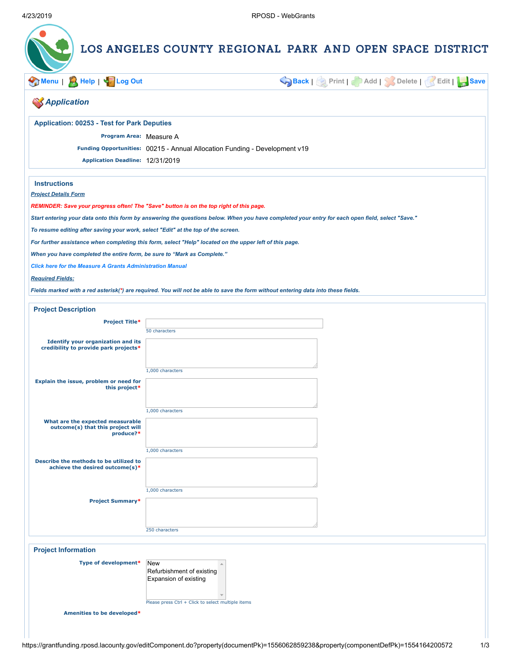| Menu   A Help   45 Log Out                                                        |                                                                                                                                                  | Back   Print   Add   Solete   Edit   Save |
|-----------------------------------------------------------------------------------|--------------------------------------------------------------------------------------------------------------------------------------------------|-------------------------------------------|
| <b>SApplication</b>                                                               |                                                                                                                                                  |                                           |
| <b>Application: 00253 - Test for Park Deputies</b>                                |                                                                                                                                                  |                                           |
| Program Area: Measure A                                                           |                                                                                                                                                  |                                           |
|                                                                                   | Funding Opportunities: 00215 - Annual Allocation Funding - Development v19                                                                       |                                           |
| Application Deadline: 12/31/2019                                                  |                                                                                                                                                  |                                           |
| <b>Instructions</b>                                                               |                                                                                                                                                  |                                           |
| <b>Project Details Form</b>                                                       |                                                                                                                                                  |                                           |
|                                                                                   | REMINDER: Save your progress often! The "Save" button is on the top right of this page.                                                          |                                           |
|                                                                                   | Start entering your data onto this form by answering the questions below. When you have completed your entry for each open field, select "Save." |                                           |
| To resume editing after saving your work, select "Edit" at the top of the screen. |                                                                                                                                                  |                                           |
|                                                                                   | For further assistance when completing this form, select "Help" located on the upper left of this page.                                          |                                           |
| When you have completed the entire form, be sure to "Mark as Complete."           |                                                                                                                                                  |                                           |
| <b>Click here for the Measure A Grants Administration Manual</b>                  |                                                                                                                                                  |                                           |
| <b>Required Fields:</b>                                                           |                                                                                                                                                  |                                           |
|                                                                                   | Fields marked with a red asterisk(*) are required. You will not be able to save the form without entering data into these fields.                |                                           |
| <b>Project Description</b>                                                        |                                                                                                                                                  |                                           |
| <b>Project Title*</b>                                                             | 50 characters                                                                                                                                    |                                           |
| <b>Identify your organization and its</b>                                         |                                                                                                                                                  |                                           |
| credibility to provide park projects*                                             |                                                                                                                                                  |                                           |
|                                                                                   |                                                                                                                                                  |                                           |
|                                                                                   | 1,000 characters                                                                                                                                 |                                           |
| Explain the issue, problem or need for<br>this project*                           |                                                                                                                                                  |                                           |
|                                                                                   |                                                                                                                                                  |                                           |
|                                                                                   | 1,000 characters                                                                                                                                 |                                           |
| What are the expected measurable<br>outcome(s) that this project will             |                                                                                                                                                  |                                           |
| produce?*                                                                         |                                                                                                                                                  |                                           |
|                                                                                   | 1,000 characters                                                                                                                                 |                                           |
| Describe the methods to be utilized to                                            |                                                                                                                                                  |                                           |
| achieve the desired outcome(s)*                                                   |                                                                                                                                                  |                                           |
|                                                                                   |                                                                                                                                                  |                                           |
|                                                                                   | 1,000 characters                                                                                                                                 |                                           |
|                                                                                   |                                                                                                                                                  |                                           |
| <b>Project Summary*</b>                                                           |                                                                                                                                                  |                                           |
|                                                                                   |                                                                                                                                                  |                                           |
|                                                                                   | 250 characters                                                                                                                                   |                                           |
| <b>Project Information</b>                                                        |                                                                                                                                                  |                                           |
| Type of development*                                                              |                                                                                                                                                  |                                           |
|                                                                                   | New<br>$\blacktriangle$<br>Refurbishment of existing                                                                                             |                                           |
|                                                                                   | Expansion of existing                                                                                                                            |                                           |
|                                                                                   | Please press Ctrl + Click to select multiple items                                                                                               |                                           |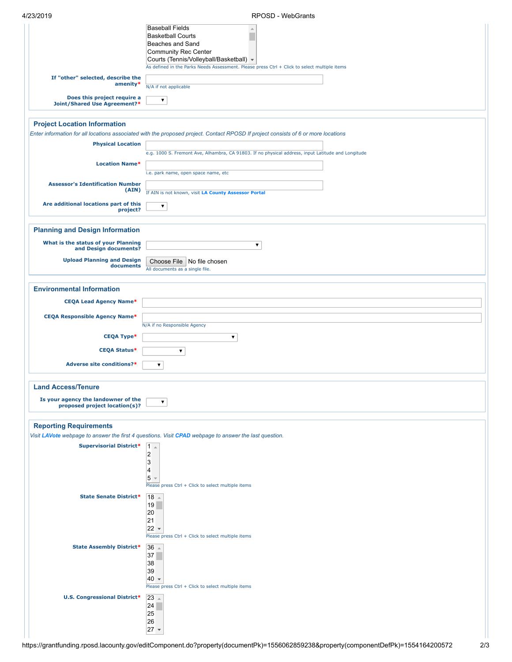| 4/23/2019 |  |  |
|-----------|--|--|
|           |  |  |

| 77 - 77 - 77 - 77                                                    |                                                                                                                                                                                                                                                          |
|----------------------------------------------------------------------|----------------------------------------------------------------------------------------------------------------------------------------------------------------------------------------------------------------------------------------------------------|
|                                                                      | <b>Baseball Fields</b><br>$\triangle$<br><b>Basketball Courts</b><br>Beaches and Sand<br>Community Rec Center<br>Courts (Tennis/Volleyball/Basketball) ▼<br>As defined in the Parks Needs Assessment. Please press Ctrl + Click to select multiple items |
| If "other" selected, describe the<br>amenity*                        | N/A if not applicable                                                                                                                                                                                                                                    |
| Does this project require a                                          | ▼                                                                                                                                                                                                                                                        |
| Joint/Shared Use Agreement?*                                         |                                                                                                                                                                                                                                                          |
| <b>Project Location Information</b>                                  |                                                                                                                                                                                                                                                          |
| <b>Physical Location</b>                                             | Enter information for all locations associated with the proposed project. Contact RPOSD If project consists of 6 or more locations                                                                                                                       |
|                                                                      | e.g. 1000 S. Fremont Ave, Alhambra, CA 91803. If no physical address, input Latitude and Longitude                                                                                                                                                       |
| <b>Location Name*</b>                                                | i.e. park name, open space name, etc                                                                                                                                                                                                                     |
| <b>Assessor's Identification Number</b><br>(AIN)                     | If AIN is not known, visit LA County Assessor Portal                                                                                                                                                                                                     |
| Are additional locations part of this<br>project?                    | ▼                                                                                                                                                                                                                                                        |
|                                                                      |                                                                                                                                                                                                                                                          |
| <b>Planning and Design Information</b>                               |                                                                                                                                                                                                                                                          |
| What is the status of your Planning<br>and Design documents?         | $\blacktriangledown$                                                                                                                                                                                                                                     |
| <b>Upload Planning and Design</b><br>documents                       | Choose File   No file chosen<br>All documents as a single file.                                                                                                                                                                                          |
|                                                                      |                                                                                                                                                                                                                                                          |
| <b>Environmental Information</b>                                     |                                                                                                                                                                                                                                                          |
| <b>CEQA Lead Agency Name*</b>                                        |                                                                                                                                                                                                                                                          |
| <b>CEQA Responsible Agency Name*</b>                                 | N/A if no Responsible Agency                                                                                                                                                                                                                             |
| <b>CEQA Type*</b>                                                    | $\blacktriangledown$                                                                                                                                                                                                                                     |
| <b>CEQA Status*</b>                                                  | ▼                                                                                                                                                                                                                                                        |
| Adverse site conditions?*                                            | $\blacktriangledown$                                                                                                                                                                                                                                     |
| <b>Land Access/Tenure</b>                                            |                                                                                                                                                                                                                                                          |
| Is your agency the landowner of the<br>proposed project location(s)? | ▼                                                                                                                                                                                                                                                        |
|                                                                      |                                                                                                                                                                                                                                                          |
| <b>Reporting Requirements</b>                                        |                                                                                                                                                                                                                                                          |
| <b>Supervisorial District*</b>                                       | Visit LAVote webpage to answer the first 4 questions. Visit CPAD webpage to answer the last question.<br>$ 1 -$                                                                                                                                          |
|                                                                      | $\overline{2}$<br>3<br>4<br>5                                                                                                                                                                                                                            |
|                                                                      | Please press Ctrl + Click to select multiple items                                                                                                                                                                                                       |
| <b>State Senate District*</b>                                        | $18 -$<br>19<br>20<br>21<br>$22 -$<br>Please press Ctrl + Click to select multiple items                                                                                                                                                                 |
| <b>State Assembly District*</b>                                      | $36 -$                                                                                                                                                                                                                                                   |
|                                                                      | 37<br>38<br>39<br>$40 -$<br>Please press Ctrl + Click to select multiple items                                                                                                                                                                           |
| <b>U.S. Congressional District*</b>                                  | $ 23\rangle$<br> 24<br>25<br>26<br>$27 -$                                                                                                                                                                                                                |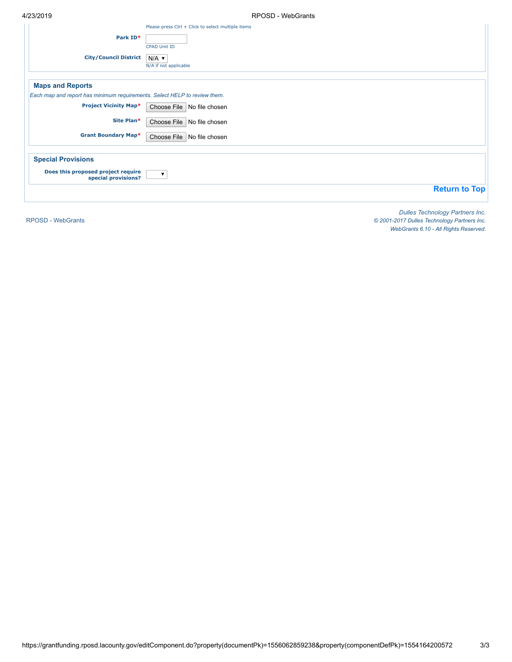| ᆔᄼᇅᄼᇅ                                                                     | IN OUD - WUUUIDING                                                        |
|---------------------------------------------------------------------------|---------------------------------------------------------------------------|
| Park ID*                                                                  | Please press Ctrl + Click to select multiple items<br><b>CPAD Unit ID</b> |
| <b>City/Council District</b>                                              | $N/A$ $\blacktriangledown$<br>N/A if not applicable                       |
| <b>Maps and Reports</b>                                                   |                                                                           |
| Each map and report has minimum requirements. Select HELP to review them. |                                                                           |
| <b>Project Vicinity Map*</b>                                              | Choose File No file chosen                                                |
| Site Plan*                                                                | Choose File   No file chosen                                              |
| <b>Grant Boundary Map*</b>                                                | Choose File No file chosen                                                |
| <b>Special Provisions</b>                                                 |                                                                           |
| Does this proposed project require<br>special provisions?                 | $\overline{\mathbf{v}}$                                                   |
|                                                                           | <b>Return to Top</b>                                                      |
|                                                                           |                                                                           |

RPOSD - [WebGrants](https://grantfunding.rposd.lacounty.gov/)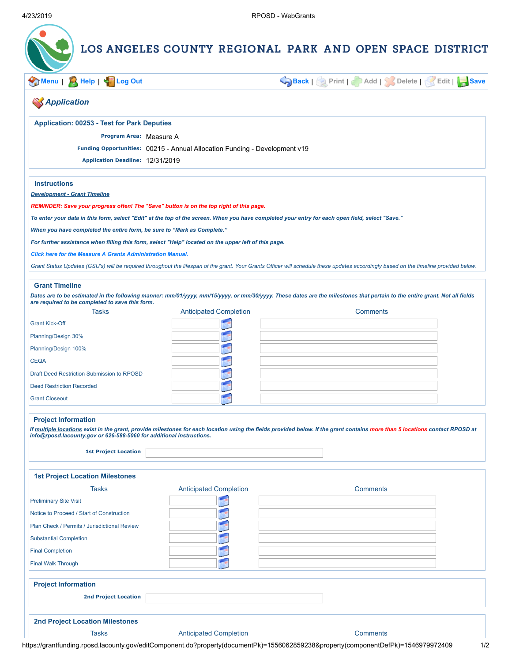| Menu   A Help   Son Log Out                                                                                                       |                                                                            | Back   Print   Add   Delete   Edit   Save                                                                                                                                             |  |
|-----------------------------------------------------------------------------------------------------------------------------------|----------------------------------------------------------------------------|---------------------------------------------------------------------------------------------------------------------------------------------------------------------------------------|--|
| <b>S</b> Application                                                                                                              |                                                                            |                                                                                                                                                                                       |  |
| <b>Application: 00253 - Test for Park Deputies</b>                                                                                |                                                                            |                                                                                                                                                                                       |  |
| Program Area: Measure A                                                                                                           |                                                                            |                                                                                                                                                                                       |  |
| Application Deadline: 12/31/2019                                                                                                  | Funding Opportunities: 00215 - Annual Allocation Funding - Development v19 |                                                                                                                                                                                       |  |
| <b>Instructions</b>                                                                                                               |                                                                            |                                                                                                                                                                                       |  |
| <b>Development - Grant Timeline</b>                                                                                               |                                                                            |                                                                                                                                                                                       |  |
| REMINDER: Save your progress often! The "Save" button is on the top right of this page.                                           |                                                                            |                                                                                                                                                                                       |  |
|                                                                                                                                   |                                                                            | To enter your data in this form, select "Edit" at the top of the screen. When you have completed your entry for each open field, select "Save."                                       |  |
| When you have completed the entire form, be sure to "Mark as Complete."                                                           |                                                                            |                                                                                                                                                                                       |  |
| For further assistance when filling this form, select "Help" located on the upper left of this page.                              |                                                                            |                                                                                                                                                                                       |  |
| <b>Click here for the Measure A Grants Administration Manual.</b>                                                                 |                                                                            |                                                                                                                                                                                       |  |
|                                                                                                                                   |                                                                            | Grant Status Updates (GSU's) will be required throughout the lifespan of the grant. Your Grants Officer will schedule these updates accordingly based on the timeline provided below. |  |
| <b>Grant Timeline</b>                                                                                                             |                                                                            |                                                                                                                                                                                       |  |
|                                                                                                                                   |                                                                            | Dates are to be estimated in the following manner: mm/01/yyyy, mm/15/yyyy, or mm/30/yyyy. These dates are the milestones that pertain to the entire grant. Not all fields             |  |
| are required to be completed to save this form.<br><b>Tasks</b>                                                                   | <b>Anticipated Completion</b>                                              | <b>Comments</b>                                                                                                                                                                       |  |
| <b>Grant Kick-Off</b>                                                                                                             |                                                                            |                                                                                                                                                                                       |  |
|                                                                                                                                   |                                                                            |                                                                                                                                                                                       |  |
| Planning/Design 30%                                                                                                               |                                                                            |                                                                                                                                                                                       |  |
| Planning/Design 100%                                                                                                              |                                                                            |                                                                                                                                                                                       |  |
| <b>CEQA</b>                                                                                                                       |                                                                            |                                                                                                                                                                                       |  |
| Draft Deed Restriction Submission to RPOSD                                                                                        |                                                                            |                                                                                                                                                                                       |  |
| <b>Deed Restriction Recorded</b>                                                                                                  |                                                                            |                                                                                                                                                                                       |  |
| <b>Grant Closeout</b>                                                                                                             |                                                                            |                                                                                                                                                                                       |  |
| <b>Project Information</b><br>info@rposd.lacounty.gov or 626-588-5060 for additional instructions.<br><b>1st Project Location</b> |                                                                            | If multiple locations exist in the grant, provide milestones for each location using the fields provided below. If the grant contains more than 5 locations contact RPOSD at          |  |
| <b>1st Project Location Milestones</b>                                                                                            |                                                                            |                                                                                                                                                                                       |  |
| Tasks                                                                                                                             | <b>Anticipated Completion</b>                                              | <b>Comments</b>                                                                                                                                                                       |  |
| <b>Preliminary Site Visit</b>                                                                                                     |                                                                            |                                                                                                                                                                                       |  |
| Notice to Proceed / Start of Construction                                                                                         |                                                                            |                                                                                                                                                                                       |  |
| Plan Check / Permits / Jurisdictional Review                                                                                      |                                                                            |                                                                                                                                                                                       |  |
| <b>Substantial Completion</b>                                                                                                     |                                                                            |                                                                                                                                                                                       |  |
| <b>Final Completion</b><br><b>Final Walk Through</b>                                                                              |                                                                            |                                                                                                                                                                                       |  |
|                                                                                                                                   |                                                                            |                                                                                                                                                                                       |  |
| <b>Project Information</b>                                                                                                        |                                                                            |                                                                                                                                                                                       |  |
| <b>2nd Project Location</b>                                                                                                       |                                                                            |                                                                                                                                                                                       |  |
| <b>2nd Project Location Milestones</b>                                                                                            |                                                                            |                                                                                                                                                                                       |  |
|                                                                                                                                   |                                                                            |                                                                                                                                                                                       |  |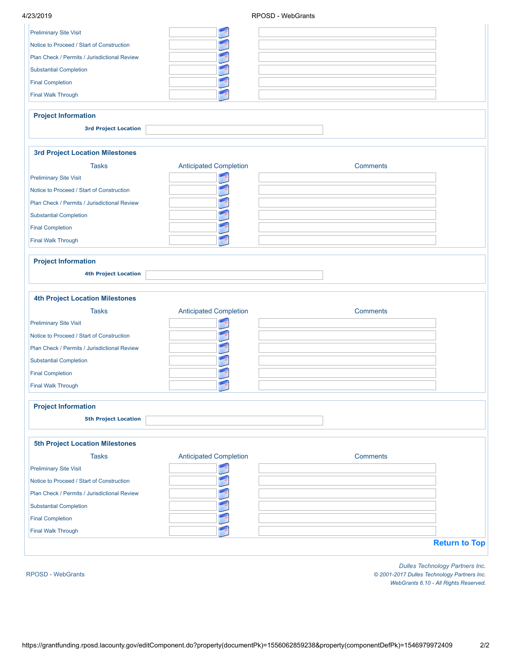|                                                           |                               | RPOSD - WebGrants |
|-----------------------------------------------------------|-------------------------------|-------------------|
| <b>Preliminary Site Visit</b>                             | F                             |                   |
| Notice to Proceed / Start of Construction                 |                               |                   |
| Plan Check / Permits / Jurisdictional Review              |                               |                   |
| <b>Substantial Completion</b>                             |                               |                   |
| <b>Final Completion</b>                                   |                               |                   |
| <b>Final Walk Through</b>                                 |                               |                   |
| <b>Project Information</b>                                |                               |                   |
| <b>3rd Project Location</b>                               |                               |                   |
|                                                           |                               |                   |
| <b>3rd Project Location Milestones</b>                    |                               |                   |
| <b>Tasks</b>                                              | <b>Anticipated Completion</b> | <b>Comments</b>   |
| <b>Preliminary Site Visit</b>                             |                               |                   |
| Notice to Proceed / Start of Construction                 |                               |                   |
| Plan Check / Permits / Jurisdictional Review              |                               |                   |
| <b>Substantial Completion</b>                             |                               |                   |
| <b>Final Completion</b>                                   |                               |                   |
| <b>Final Walk Through</b>                                 |                               |                   |
| <b>4th Project Location Milestones</b>                    |                               |                   |
| <b>Tasks</b>                                              |                               | <b>Comments</b>   |
| <b>Preliminary Site Visit</b>                             | <b>Anticipated Completion</b> |                   |
| Notice to Proceed / Start of Construction                 |                               |                   |
| Plan Check / Permits / Jurisdictional Review              |                               |                   |
| <b>Substantial Completion</b>                             |                               |                   |
| <b>Final Completion</b>                                   |                               |                   |
| <b>Final Walk Through</b>                                 |                               |                   |
|                                                           |                               |                   |
| <b>Project Information</b><br><b>5th Project Location</b> |                               |                   |
| <b>5th Project Location Milestones</b>                    |                               |                   |
| <b>Tasks</b>                                              | <b>Anticipated Completion</b> | <b>Comments</b>   |
| <b>Preliminary Site Visit</b>                             |                               |                   |
| Notice to Proceed / Start of Construction                 |                               |                   |
| Plan Check / Permits / Jurisdictional Review              |                               |                   |
| <b>Substantial Completion</b>                             |                               |                   |
| <b>Final Completion</b>                                   |                               |                   |
| <b>Final Walk Through</b>                                 |                               |                   |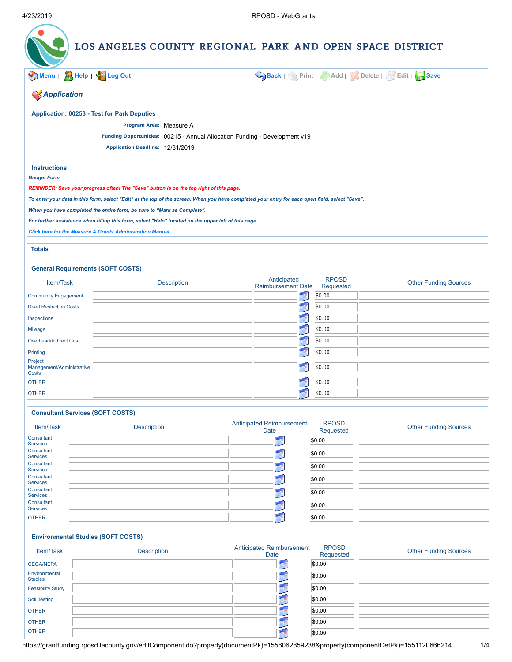

**[Menu](https://grantfunding.rposd.lacounty.gov/home.do)** | **[Help](https://grantfunding.rposd.lacounty.gov/help/editApplicationComponent_help.jsp?documentPk=1556062859238&componentDefPk=1551120666214)** | **[Log](https://grantfunding.rposd.lacounty.gov/logout.do) Out [Back](https://grantfunding.rposd.lacounty.gov/viewComponent.do?property(documentPk)=1556062859238&property(componentDefPk)=1551120666214&property(componentPk)=1556063119770)** | **Print** | **Add** | **Delete** | **Edit** | **[Save](javascript:void(0);)**

| <b>SApplication</b>                                                     |                                                                                                      |                                                                                                                                                 |                              |
|-------------------------------------------------------------------------|------------------------------------------------------------------------------------------------------|-------------------------------------------------------------------------------------------------------------------------------------------------|------------------------------|
| <b>Application: 00253 - Test for Park Deputies</b>                      |                                                                                                      |                                                                                                                                                 |                              |
|                                                                         | Program Area: Measure A                                                                              |                                                                                                                                                 |                              |
|                                                                         | Funding Opportunities: 00215 - Annual Allocation Funding - Development v19                           |                                                                                                                                                 |                              |
|                                                                         | Application Deadline: 12/31/2019                                                                     |                                                                                                                                                 |                              |
| <b>Instructions</b>                                                     |                                                                                                      |                                                                                                                                                 |                              |
| <b>Budget Form</b>                                                      |                                                                                                      |                                                                                                                                                 |                              |
|                                                                         | REMINDER: Save your progress often! The "Save" button is on the top right of this page.              |                                                                                                                                                 |                              |
|                                                                         |                                                                                                      | To enter your data in this form, select "Edit" at the top of the screen. When you have completed your entry for each open field, select "Save". |                              |
| When you have completed the entire form, be sure to "Mark as Complete". |                                                                                                      |                                                                                                                                                 |                              |
|                                                                         | For further assistance when filling this form, select "Help" located on the upper left of this page. |                                                                                                                                                 |                              |
| <b>Click here for the Measure A Grants Administration Manual.</b>       |                                                                                                      |                                                                                                                                                 |                              |
|                                                                         |                                                                                                      |                                                                                                                                                 |                              |
| <b>Totals</b>                                                           |                                                                                                      |                                                                                                                                                 |                              |
| <b>General Requirements (SOFT COSTS)</b>                                |                                                                                                      |                                                                                                                                                 |                              |
| Item/Task                                                               | <b>Description</b>                                                                                   | <b>RPOSD</b><br>Anticipated<br><b>Reimbursement Date</b><br>Requested                                                                           | <b>Other Funding Sources</b> |
| <b>Community Engagement</b>                                             |                                                                                                      | \$0.00                                                                                                                                          |                              |
| <b>Deed Restriction Costs</b>                                           |                                                                                                      | \$0.00                                                                                                                                          |                              |
| Inspections                                                             |                                                                                                      | \$0.00                                                                                                                                          |                              |
| Mileage                                                                 |                                                                                                      | \$0.00                                                                                                                                          |                              |
| Overhead/Indirect Cost                                                  |                                                                                                      | \$0.00                                                                                                                                          |                              |
| Printing                                                                |                                                                                                      | \$0.00                                                                                                                                          |                              |
| Project<br>Management/Administrative                                    |                                                                                                      | \$0.00                                                                                                                                          |                              |

#### **Consultant Services (SOFT COSTS)**

| Item/Task                     | <b>Description</b> | <b>Anticipated Reimbursement</b><br><b>Date</b> | <b>RPOSD</b><br>Requested | <b>Other Funding Sources</b> |
|-------------------------------|--------------------|-------------------------------------------------|---------------------------|------------------------------|
| Consultant<br>Services        |                    |                                                 | \$0.00                    |                              |
| Consultant<br><b>Services</b> |                    |                                                 | \$0.00                    |                              |
| Consultant<br>Services        |                    |                                                 | \$0.00                    |                              |
| Consultant<br>Services        |                    |                                                 | \$0.00                    |                              |
| Consultant<br><b>Services</b> |                    |                                                 | \$0.00                    |                              |
| Consultant<br>Services        |                    |                                                 | \$0.00                    |                              |
| <b>OTHER</b>                  |                    |                                                 | \$0.00                    |                              |

OTHER SO.00 OTHER SO.00

#### **Environmental Studies (SOFT COSTS)**

| Item/Task                       | <b>Description</b> | <b>Anticipated Reimbursement</b><br>Date | <b>RPOSD</b><br>Requested | <b>Other Funding Sources</b> |
|---------------------------------|--------------------|------------------------------------------|---------------------------|------------------------------|
| <b>CEQA/NEPA</b>                |                    |                                          | \$0.00                    |                              |
| Environmental<br><b>Studies</b> |                    |                                          | \$0.00                    |                              |
| <b>Feasibility Study</b>        |                    |                                          | \$0.00                    |                              |
| Soil Testing                    |                    |                                          | \$0.00                    |                              |
| <b>OTHER</b>                    |                    |                                          | \$0.00                    |                              |
| <b>OTHER</b>                    |                    |                                          | \$0.00                    |                              |
| <b>OTHER</b>                    |                    |                                          | \$0.00                    |                              |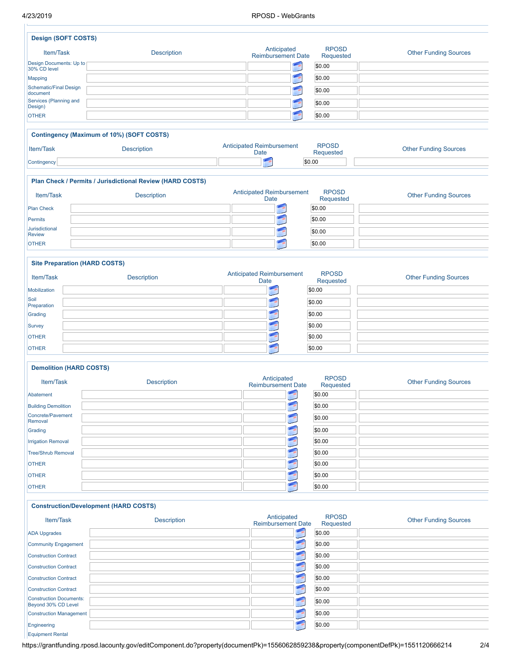Equipment Rental

#### 4/23/2019 RPOSD - WebGrants

| <b>Design (SOFT COSTS)</b>                            |                                                           |                                                 |                           |                              |
|-------------------------------------------------------|-----------------------------------------------------------|-------------------------------------------------|---------------------------|------------------------------|
| Item/Task                                             | <b>Description</b>                                        | Anticipated<br><b>Reimbursement Date</b>        | <b>RPOSD</b><br>Requested | <b>Other Funding Sources</b> |
| Design Documents: Up to<br>30% CD level               |                                                           | F                                               | \$0.00                    |                              |
| <b>Mapping</b>                                        |                                                           |                                                 | \$0.00                    |                              |
| <b>Schematic/Final Design</b><br>document             |                                                           |                                                 | \$0.00                    |                              |
| Services (Planning and                                |                                                           |                                                 | \$0.00                    |                              |
| Design)                                               |                                                           |                                                 |                           |                              |
| <b>OTHER</b>                                          |                                                           |                                                 | \$0.00                    |                              |
|                                                       | Contingency (Maximum of 10%) (SOFT COSTS)                 |                                                 |                           |                              |
| Item/Task                                             | <b>Description</b>                                        | <b>Anticipated Reimbursement</b><br><b>Date</b> | <b>RPOSD</b><br>Requested | <b>Other Funding Sources</b> |
| Contingency                                           |                                                           |                                                 | \$0.00                    |                              |
|                                                       | Plan Check / Permits / Jurisdictional Review (HARD COSTS) |                                                 |                           |                              |
| Item/Task                                             | <b>Description</b>                                        | <b>Anticipated Reimbursement</b>                | <b>RPOSD</b>              | <b>Other Funding Sources</b> |
|                                                       |                                                           | Date                                            | Requested                 |                              |
| <b>Plan Check</b>                                     |                                                           |                                                 | \$0.00                    |                              |
| <b>Permits</b><br>Jurisdictional                      |                                                           |                                                 | \$0.00                    |                              |
| <b>Review</b>                                         |                                                           |                                                 | \$0.00                    |                              |
| <b>OTHER</b>                                          |                                                           |                                                 | \$0.00                    |                              |
|                                                       | <b>Site Preparation (HARD COSTS)</b>                      |                                                 |                           |                              |
| Item/Task                                             | <b>Description</b>                                        | <b>Anticipated Reimbursement</b><br><b>Date</b> | <b>RPOSD</b><br>Requested | <b>Other Funding Sources</b> |
| Mobilization                                          |                                                           |                                                 | \$0.00                    |                              |
| Soil                                                  |                                                           |                                                 | \$0.00                    |                              |
| Preparation<br>Grading                                |                                                           | <b>TANK</b>                                     | \$0.00                    |                              |
| Survey                                                |                                                           |                                                 | \$0.00                    |                              |
| <b>OTHER</b>                                          |                                                           |                                                 | \$0.00                    |                              |
| <b>OTHER</b>                                          |                                                           | - 19                                            | \$0.00                    |                              |
|                                                       |                                                           |                                                 |                           |                              |
| <b>Demolition (HARD COSTS)</b>                        |                                                           |                                                 |                           |                              |
| Item/Task                                             | <b>Description</b>                                        | Anticipated<br><b>Reimbursement Date</b>        | <b>RPOSD</b><br>Requested | <b>Other Funding Sources</b> |
| Abatement                                             |                                                           |                                                 | \$0.00                    |                              |
| <b>Building Demolition</b>                            |                                                           |                                                 | \$0.00                    |                              |
| Concrete/Pavement                                     |                                                           | - 60                                            | \$0.00                    |                              |
| Removal                                               |                                                           |                                                 | \$0.00                    |                              |
| Grading                                               |                                                           | 19                                              | \$0.00                    |                              |
| <b>Irrigation Removal</b>                             |                                                           |                                                 |                           |                              |
| <b>Tree/Shrub Removal</b>                             |                                                           |                                                 | \$0.00                    |                              |
| <b>OTHER</b>                                          |                                                           |                                                 | \$0.00                    |                              |
| <b>OTHER</b>                                          |                                                           | - 15                                            | \$0.00                    |                              |
| <b>OTHER</b>                                          |                                                           |                                                 | \$0.00                    |                              |
|                                                       | <b>Construction/Development (HARD COSTS)</b>              |                                                 |                           |                              |
| Item/Task                                             | <b>Description</b>                                        | Anticipated<br><b>Reimbursement Date</b>        | <b>RPOSD</b><br>Requested | <b>Other Funding Sources</b> |
| <b>ADA Upgrades</b>                                   |                                                           |                                                 | \$0.00                    |                              |
| <b>Community Engagement</b>                           |                                                           | 1                                               | \$0.00                    |                              |
| <b>Construction Contract</b>                          |                                                           | E                                               | \$0.00                    |                              |
| <b>Construction Contract</b>                          |                                                           | $\blacksquare$                                  | \$0.00                    |                              |
| <b>Construction Contract</b>                          |                                                           | E                                               | \$0.00                    |                              |
| <b>Construction Contract</b>                          |                                                           | 1                                               | \$0.00                    |                              |
| <b>Construction Documents:</b><br>Beyond 30% CD Level |                                                           |                                                 | \$0.00                    |                              |
| <b>Construction Management</b>                        |                                                           |                                                 | \$0.00                    |                              |

https://grantfunding.rposd.lacounty.gov/editComponent.do?property(documentPk)=1556062859238&property(componentDefPk)=1551120666214 2/4

Engineering \$0.00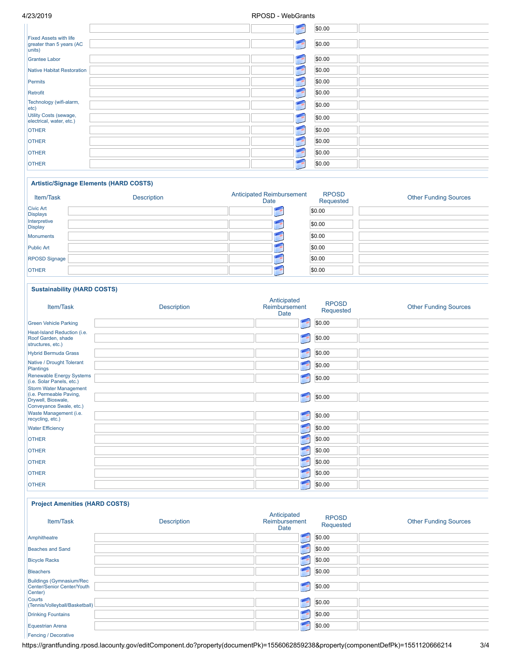|                               |    | \$0.00 |
|-------------------------------|----|--------|
|                               |    |        |
| <b>Fixed Assets with life</b> |    |        |
| greater than 5 years (AC      | 膅  | \$0.00 |
| units)                        |    |        |
| Grantee Labor                 | 畽  | \$0.00 |
|                               |    |        |
| Native Habitat Restoration    |    | \$0.00 |
|                               |    |        |
| Permits                       |    | \$0.00 |
|                               |    |        |
| Retrofit                      |    | \$0.00 |
|                               |    |        |
| Technology (wifi-alarm,       |    | \$0.00 |
| $ $ etc $ $                   |    |        |
| Utility Costs (sewage,        |    |        |
| electrical, water, etc.)      | 明陽 | \$0.00 |
|                               |    |        |
| <b>OTHER</b>                  |    | \$0.00 |
|                               |    |        |
| <b>OTHER</b>                  |    | \$0.00 |
|                               |    |        |
| <b>OTHER</b>                  |    | \$0.00 |
|                               |    |        |
| <b>OTHER</b>                  |    | \$0.00 |
|                               |    |        |

#### **Artistic/Signage Elements (HARD COSTS)**

| Item/Task                           | <b>Description</b> | <b>Anticipated Reimbursement</b><br>Date | <b>RPOSD</b><br>Requested | <b>Other Funding Sources</b> |
|-------------------------------------|--------------------|------------------------------------------|---------------------------|------------------------------|
| <b>Civic Art</b><br><b>Displays</b> |                    |                                          | \$0.00                    |                              |
| Interpretive<br><b>Display</b>      |                    |                                          | \$0.00                    |                              |
| Monuments                           |                    |                                          | \$0.00                    |                              |
| <b>Public Art</b>                   |                    |                                          | \$0.00                    |                              |
| <b>RPOSD Signage</b>                |                    |                                          | \$0.00                    |                              |
| <b>OTHER</b>                        |                    |                                          | \$0.00                    |                              |

### **Sustainability (HARD COSTS)**

| Item/Task                                                                | <b>Description</b> | Anticipated<br>Reimbursement<br>Date | <b>RPOSD</b><br>Requested | <b>Other Funding Sources</b> |
|--------------------------------------------------------------------------|--------------------|--------------------------------------|---------------------------|------------------------------|
| <b>Green Vehicle Parking</b>                                             |                    |                                      | \$0.00                    |                              |
| Heat-Island Reduction (i.e.<br>Roof Garden, shade<br>structures, etc.)   |                    |                                      | \$0.00                    |                              |
| <b>Hybrid Bermuda Grass</b>                                              |                    |                                      | \$0.00                    |                              |
| Native / Drought Tolerant<br><b>Plantings</b>                            |                    |                                      | \$0.00                    |                              |
| <b>Renewable Energy Systems</b><br>(i.e. Solar Panels, etc.)             |                    |                                      | \$0.00                    |                              |
| <b>Storm Water Management</b>                                            |                    |                                      |                           |                              |
| (i.e. Permeable Paving,<br>Drywell, Bioswale,<br>Conveyance Swale, etc.) |                    |                                      | \$0.00                    |                              |
| Waste Management (i.e.<br>recycling, etc.)                               |                    |                                      | \$0.00                    |                              |
| <b>Water Efficiency</b>                                                  |                    |                                      | \$0.00                    |                              |
| <b>OTHER</b>                                                             |                    |                                      | \$0.00                    |                              |
| <b>OTHER</b>                                                             |                    |                                      | \$0.00                    |                              |
| <b>OTHER</b>                                                             |                    |                                      | \$0.00                    |                              |
| <b>OTHER</b>                                                             |                    |                                      | \$0.00                    |                              |
| <b>OTHER</b>                                                             |                    |                                      | \$0.00                    |                              |

#### **Project Amenities (HARD COSTS)**

| Item/Task                                                                | <b>Description</b> | Anticipated<br>Reimbursement<br>Date | <b>RPOSD</b><br>Requested | <b>Other Funding Sources</b> |
|--------------------------------------------------------------------------|--------------------|--------------------------------------|---------------------------|------------------------------|
| Amphitheatre                                                             |                    | - 59                                 | \$0.00                    |                              |
| Beaches and Sand                                                         |                    |                                      | \$0.00                    |                              |
| <b>Bicycle Racks</b>                                                     |                    |                                      | \$0.00                    |                              |
| Bleachers                                                                |                    | (1, 1)                               | \$0.00                    |                              |
| <b>Buildings (Gymnasium/Rec</b><br>Center/Senior Center/Youth<br>Center) |                    | 画程                                   | \$0.00                    |                              |
| Courts<br>(Tennis/Volleyball/Basketball)                                 |                    | 行用                                   | \$0.00                    |                              |
| <b>Drinking Fountains</b>                                                |                    |                                      | \$0.00                    |                              |
| <b>Equestrian Arena</b>                                                  |                    |                                      | \$0.00                    |                              |
| <b>Fencing / Decorative</b>                                              |                    |                                      |                           |                              |

https://grantfunding.rposd.lacounty.gov/editComponent.do?property(documentPk)=1556062859238&property(componentDefPk)=1551120666214 3/4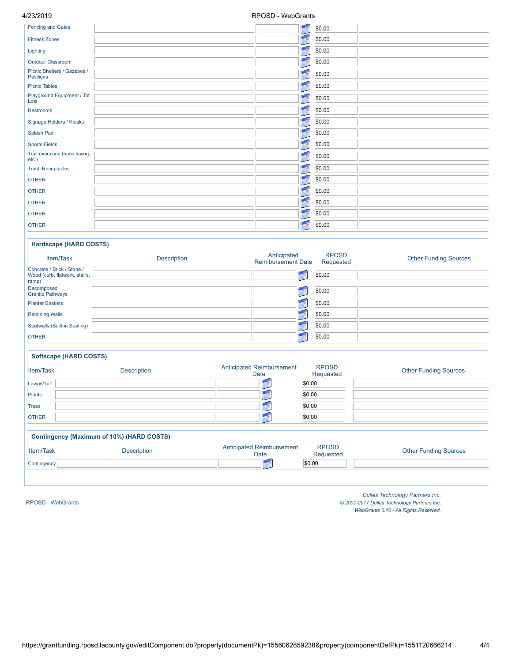| <b>Fencing and Gates</b>                 | <b>Lend</b> | \$0.00 |
|------------------------------------------|-------------|--------|
| <b>Fitness Zones</b>                     |             | \$0.00 |
| Lighting                                 |             | \$0.00 |
| Outdoor Classroom                        |             | \$0.00 |
| Picnic Shelters / Gazebos /<br>Pavilions |             | \$0.00 |
| <b>Picnic Tables</b>                     |             | \$0.00 |
| Playground Equipment / Tot<br>Lots       |             | \$0.00 |
| <b>Restrooms</b>                         |             | \$0.00 |
| Signage Holders / Kiosks                 |             | \$0.00 |
| Splash Pad                               |             | \$0.00 |
| <b>Sports Fields</b>                     |             | \$0.00 |
| Trail expenses (base laying,<br>etc.)    |             | \$0.00 |
| <b>Trash Receptacles</b>                 |             | \$0.00 |
| <b>OTHER</b>                             |             | \$0.00 |
| <b>OTHER</b>                             |             | \$0.00 |
| <b>OTHER</b>                             |             | \$0.00 |
| <b>OTHER</b>                             |             | \$0.00 |
| <b>OTHER</b>                             |             | \$0.00 |

### **Hardscape (HARD COSTS)**

| Item/Task                                                            | Description | Anticipated<br><b>Reimbursement Date</b> | <b>RPOSD</b><br>Requested | <b>Other Funding Sources</b> |
|----------------------------------------------------------------------|-------------|------------------------------------------|---------------------------|------------------------------|
| Concrete / Brick / Stone /<br>Wood (curb, flatwork, stairs,<br>ramp) |             |                                          | \$0.00                    |                              |
| Decomposed<br><b>Granite Pathways</b>                                |             |                                          | \$0.00                    |                              |
| <b>Planter Baskets</b>                                               |             |                                          | \$0.00                    |                              |
| <b>Retaining Walls</b>                                               |             |                                          | \$0.00                    |                              |
| Seatwalls (Built-in Seating)                                         |             |                                          | \$0.00                    |                              |
| <b>OTHER</b>                                                         |             |                                          | \$0.00                    |                              |

### **Softscape (HARD COSTS)**

| <b>Item/Task</b> | <b>Description</b> | <b>Anticipated Reimbursement</b><br>Date | <b>RPOSD</b><br>Requested | <b>Other Funding Sources</b> |
|------------------|--------------------|------------------------------------------|---------------------------|------------------------------|
| Lawns/Turf       |                    |                                          | \$0.00                    |                              |
| Plants           |                    |                                          | \$0.00                    |                              |
| <b>Trees</b>     |                    |                                          | \$0.00                    |                              |
| <b>OTHER</b>     |                    |                                          | \$0.00                    |                              |
|                  |                    |                                          |                           |                              |

### **Contingency (Maximum of 10%) (HARD COSTS)**

| Item/Task   | <b>Description</b> | cipated Reimbursement<br>Date | <b>RPOSD</b><br>Requested | <b>Other Funding Sources</b> |
|-------------|--------------------|-------------------------------|---------------------------|------------------------------|
| Contingency |                    |                               | \$0.00                    |                              |

RPOSD - [WebGrants](https://grantfunding.rposd.lacounty.gov/)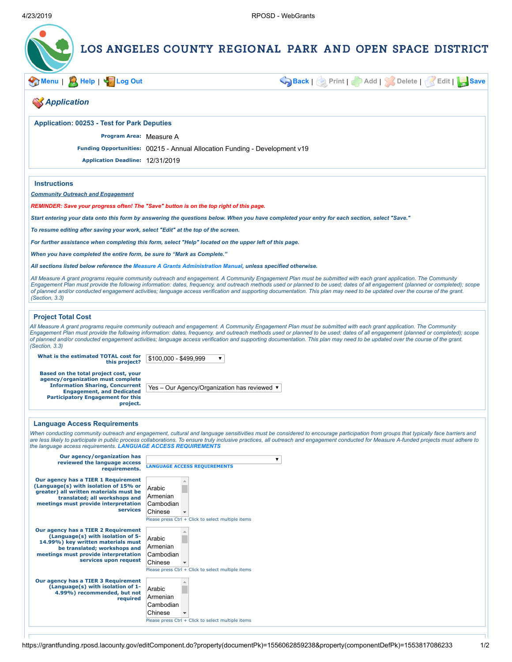

**[Menu](https://grantfunding.rposd.lacounty.gov/home.do)** | **[Help](https://grantfunding.rposd.lacounty.gov/help/editApplicationComponent_help.jsp?documentPk=1556062859238&componentDefPk=1553817086233)** | **[Log](https://grantfunding.rposd.lacounty.gov/logout.do) Out [Back](https://grantfunding.rposd.lacounty.gov/viewComponent.do?property(documentPk)=1556062859238&property(componentDefPk)=1553817086233&property(componentPk)=1556063154811)** | **Print** | **Add** | **Delete** | **Edit** | **[Save](javascript:void(0);)**

### *Application*

**Application: 00253 - Test for Park Deputies**

**Program Area:** Measure A

**Funding Opportunities:** 00215 - Annual Allocation Funding - Development v19

**Application Deadline:** 12/31/2019

**Instructions**

*Community Outreach and Engagement*

*REMINDER: Save your progress often! The "Save" button is on the top right of this page.*

*Start entering your data onto this form by answering the questions below. When you have completed your entry for each section, select "Save."*

*To resume editing after saving your work, select "Edit" at the top of the screen.*

*For further assistance when completing this form, select "Help" located on the upper left of this page.*

*When you have completed the entire form, be sure to "Mark as Complete."*

*All sections listed below reference the [Measure A Grants Administration Manual,](http://rposd.lacounty.gov/measure-a-grants-administration-manual/) unless specified otherwise.*

*All Measure A grant programs require community outreach and engagement. A Community Engagement Plan must be submitted with each grant application. The Community Engagement Plan must provide the following information: dates, frequency, and outreach methods used or planned to be used; dates of all engagement (planned or completed); scope of planned and/or conducted engagement activities; language access verification and supporting documentation. This plan may need to be updated over the course of the grant. (Section, 3.3)*

#### **Project Total Cost**

*All Measure A grant programs require community outreach and engagement. A Community Engagement Plan must be submitted with each grant application. The Community Engagement Plan must provide the following information: dates, frequency, and outreach methods used or planned to be used; dates of all engagement (planned or completed); scope of planned and/or conducted engagement activities; language access verification and supporting documentation. This plan may need to be updated over the course of the grant. (Section, 3.3)*

**What is the estimated TOTAL cost for this project?**

\$100,000 - \$499,999

**Based on the total project cost, your agency/organization must complete Information Sharing, Concurrent Engagement, and Dedicated Participatory Engagement for this project.**

Yes – Our Agency/Organization has reviewed ▼

 $\pmb{\nabla}$ 

#### **Language Access Requirements**

*When conducting community outreach and engagement, cultural and language sensitivities must be considered to encourage participation from groups that typically face barriers and are less likely to participate in public process collaborations. To ensure truly inclusive practices, all outreach and engagement conducted for Measure A-funded projects must adhere to the language access requirements. [LANGUAGE ACCESS REQUIREMENTS](http://rposd.lacounty.gov/wp-content/uploads/2019/04/Appendices-D.pdf)*

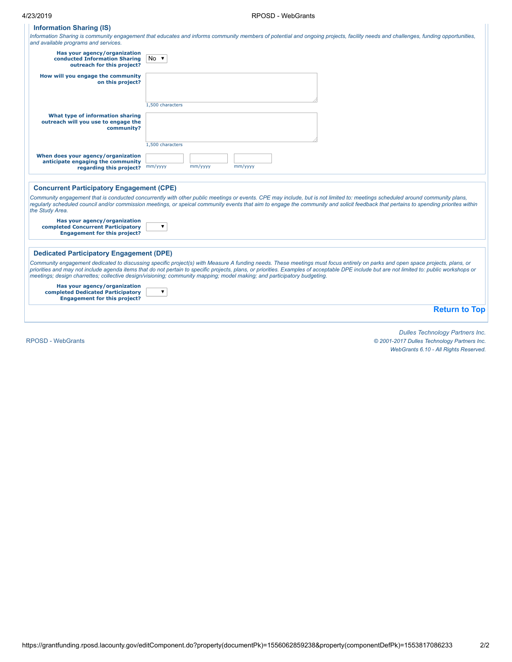### **Information Sharing (IS)**

Information Sharing is community engagement that educates and informs community members of potential and ongoing projects, facility needs and challenges, funding opportunities,<br>and available programs and services.

| Has your agency/organization<br>conducted Information Sharing<br>outreach for this project?               | $No$ $\blacktriangledown$                                                                                                                                                                                                                                                                                                                                                                                                                                                                              |
|-----------------------------------------------------------------------------------------------------------|--------------------------------------------------------------------------------------------------------------------------------------------------------------------------------------------------------------------------------------------------------------------------------------------------------------------------------------------------------------------------------------------------------------------------------------------------------------------------------------------------------|
| How will you engage the community<br>on this project?                                                     |                                                                                                                                                                                                                                                                                                                                                                                                                                                                                                        |
|                                                                                                           | 1,500 characters                                                                                                                                                                                                                                                                                                                                                                                                                                                                                       |
| What type of information sharing<br>outreach will you use to engage the<br>community?                     |                                                                                                                                                                                                                                                                                                                                                                                                                                                                                                        |
|                                                                                                           | 1,500 characters                                                                                                                                                                                                                                                                                                                                                                                                                                                                                       |
| When does your agency/organization<br>anticipate engaging the community<br>regarding this project?        | mm/yyyy<br>mm/yyyy<br>mm/yyyy                                                                                                                                                                                                                                                                                                                                                                                                                                                                          |
|                                                                                                           |                                                                                                                                                                                                                                                                                                                                                                                                                                                                                                        |
| <b>Concurrent Participatory Engagement (CPE)</b>                                                          |                                                                                                                                                                                                                                                                                                                                                                                                                                                                                                        |
| the Study Area.                                                                                           | Community engagement that is conducted concurrently with other public meetings or events. CPE may include, but is not limited to: meetings scheduled around community plans,<br>reqularly scheduled council and/or commission meetings, or speical community events that aim to engage the community and solicit feedback that pertains to spending priorites within                                                                                                                                   |
| Has your agency/organization<br>completed Concurrent Participatory<br><b>Engagement for this project?</b> | ▼                                                                                                                                                                                                                                                                                                                                                                                                                                                                                                      |
| <b>Dedicated Participatory Engagement (DPE)</b>                                                           |                                                                                                                                                                                                                                                                                                                                                                                                                                                                                                        |
|                                                                                                           | Community engagement dedicated to discussing specific project(s) with Measure A funding needs. These meetings must focus entirely on parks and open space projects, plans, or<br>priorities and may not include agenda items that do not pertain to specific projects, plans, or priorities. Examples of acceptable DPE include but are not limited to: public workshops or<br>meetings; design charrettes; collective design/visioning; community mapping; model making; and participatory budgeting. |
| Has your agency/organization<br>completed Dedicated Participatory<br><b>Engagement for this project?</b>  | $\overline{\mathbf{v}}$                                                                                                                                                                                                                                                                                                                                                                                                                                                                                |
|                                                                                                           | <b>Return to Top</b>                                                                                                                                                                                                                                                                                                                                                                                                                                                                                   |
|                                                                                                           |                                                                                                                                                                                                                                                                                                                                                                                                                                                                                                        |

RPOSD - [WebGrants](https://grantfunding.rposd.lacounty.gov/)